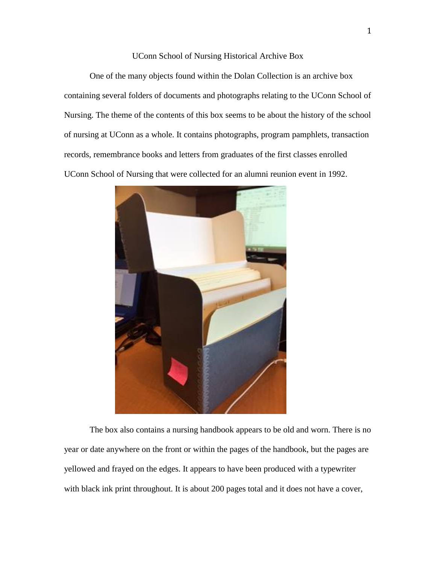## UConn School of Nursing Historical Archive Box

One of the many objects found within the Dolan Collection is an archive box containing several folders of documents and photographs relating to the UConn School of Nursing. The theme of the contents of this box seems to be about the history of the school of nursing at UConn as a whole. It contains photographs, program pamphlets, transaction records, remembrance books and letters from graduates of the first classes enrolled UConn School of Nursing that were collected for an alumni reunion event in 1992.



The box also contains a nursing handbook appears to be old and worn. There is no year or date anywhere on the front or within the pages of the handbook, but the pages are yellowed and frayed on the edges. It appears to have been produced with a typewriter with black ink print throughout. It is about 200 pages total and it does not have a cover,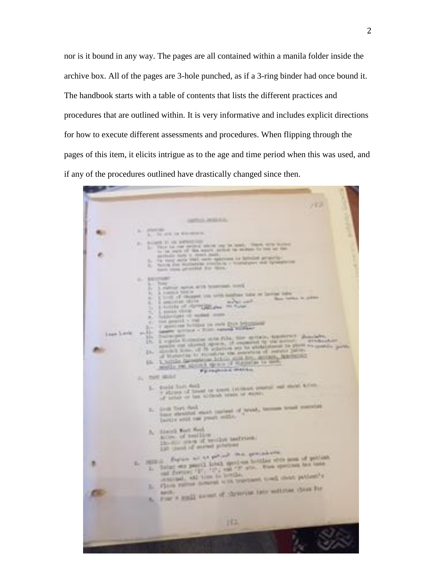nor is it bound in any way. The pages are all contained within a manila folder inside the archive box. All of the pages are 3-hole punched, as if a 3-ring binder had once bound it. The handbook starts with a table of contents that lists the different practices and procedures that are outlined within. It is very informative and includes explicit directions for how to execute different assessments and procedures. When flipping through the pages of this item, it elicits intrigue as to the age and time period when this was used, and if any of the procedures outlined have drastically changed since then.

187 **James Market** It are in Kolmers It is percentage **COMM** ٠ 8.81 14 public speak with breatened month tention which the tent and happen take on Service below **Base 1** anticipies of the solide of clay **URLIN** Louis city<br>Listen of school com-Det general i 1985<br>1986 - De Grand de Carl Bronz (1985)<br>1986 - Antonio I II de Carl Bronz (1986)<br>1986 - Antonio I de Carl Bronz (1986) Detroit Supply of the first party of the second to the second to the second of the second second second second second second second second second second second second second second second second second second second second **Loan Lim**  $\frac{1}{2}$  and  $\frac{1}{2}$  are set of the set of the set of the set of the set of the set of the set of the set of the set of the set of the set of the set of the set of the set of the set of the set of the set of the set of **Business** s. jh.  $18 \alpha$  is a second to the second state of the second state  $\alpha$  . The second state of the second state of the second state  $\alpha$ LG. J., 295 860mucha first dark to a space transport property and state a first S. of finitely of fire-all or dent of watertions that field that implant of break, homeon trend members<br>from strained which implant page fort field lettis with one poort solls. A. Hand Sat And acre, of testing ACON of healthon the harbour. 10 pers of mean printers Payne to the price of the specialists of Former and the procedure for the first stress and of published and the procedure of the stress and the first stress and the stress of the first stress and the stress of the stress of the stress of the stress of the stress Former with possible forest agent was forestime when the basic function with possible and flatters of the terminal flatters of the control of the second state of the second state of the second state of the second state of 海界市 ×. and flowers, and how to hoveds. where the number of the party and sellinger clear for n.  $192.$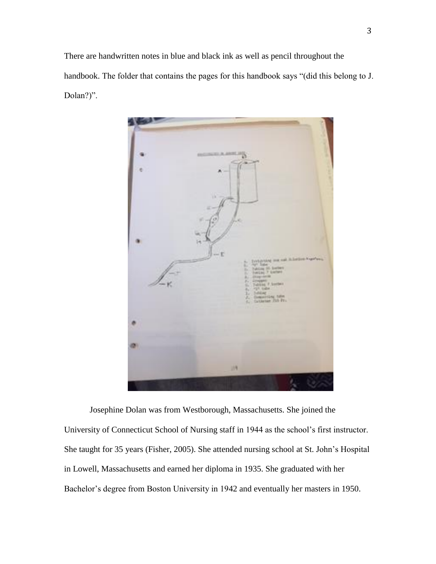There are handwritten notes in blue and black ink as well as pencil throughout the handbook. The folder that contains the pages for this handbook says "(did this belong to J. Dolan?)".



Josephine Dolan was from Westborough, Massachusetts. She joined the University of Connecticut School of Nursing staff in 1944 as the school's first instructor. She taught for 35 years (Fisher, 2005). She attended nursing school at St. John's Hospital in Lowell, Massachusetts and earned her diploma in 1935. She graduated with her Bachelor's degree from Boston University in 1942 and eventually her masters in 1950.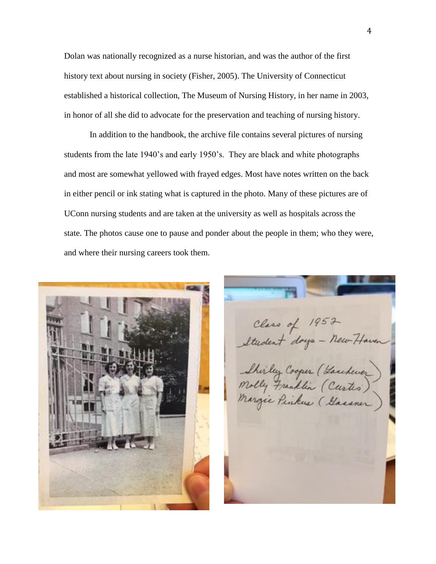Dolan was nationally recognized as a nurse historian, and was the author of the first history text about nursing in society (Fisher, 2005). The University of Connecticut established a historical collection, The Museum of Nursing History, in her name in 2003, in honor of all she did to advocate for the preservation and teaching of nursing history.

In addition to the handbook, the archive file contains several pictures of nursing students from the late 1940's and early 1950's. They are black and white photographs and most are somewhat yellowed with frayed edges. Most have notes written on the back in either pencil or ink stating what is captured in the photo. Many of these pictures are of UConn nursing students and are taken at the university as well as hospitals across the state. The photos cause one to pause and ponder about the people in them; who they were, and where their nursing careers took them.



Class of 1952<br>Student days - New Haven Shirley Cooper (Garchever)<br>Molly Franklin (Curtes)<br>Margie Penkue (Garaner)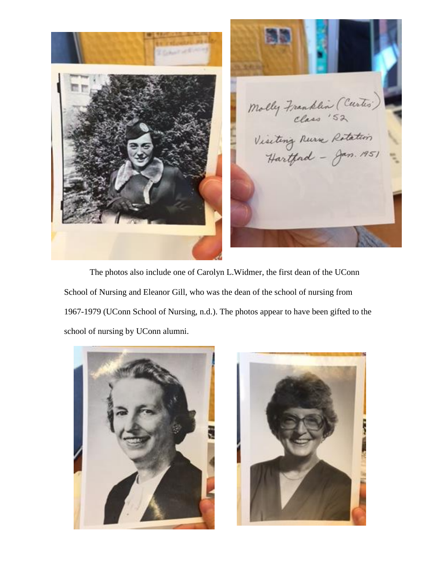

5 Molly Franklin (Curtis)

The photos also include one of Carolyn L.Widmer, the first dean of the UConn School of Nursing and Eleanor Gill, who was the dean of the school of nursing from 1967-1979 (UConn School of Nursing, n.d.). The photos appear to have been gifted to the school of nursing by UConn alumni.



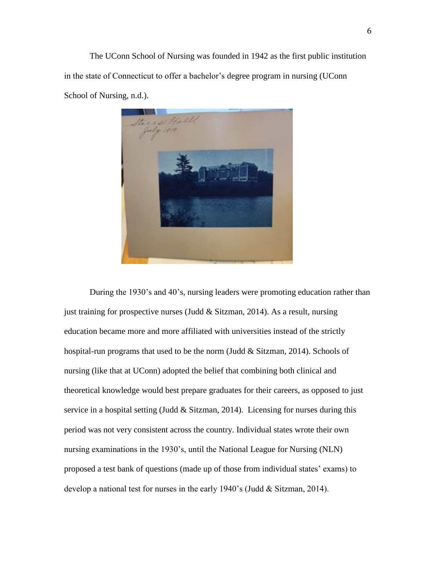The UConn School of Nursing was founded in 1942 as the first public institution in the state of Connecticut to offer a bachelor's degree program in nursing (UConn School of Nursing, n.d.).



During the 1930's and 40's, nursing leaders were promoting education rather than just training for prospective nurses (Judd  $\&$  Sitzman, 2014). As a result, nursing education became more and more affiliated with universities instead of the strictly hospital-run programs that used to be the norm (Judd & Sitzman, 2014). Schools of nursing (like that at UConn) adopted the belief that combining both clinical and theoretical knowledge would best prepare graduates for their careers, as opposed to just service in a hospital setting (Judd  $&$  Sitzman, 2014). Licensing for nurses during this period was not very consistent across the country. Individual states wrote their own nursing examinations in the 1930's, until the National League for Nursing (NLN) proposed a test bank of questions (made up of those from individual states' exams) to develop a national test for nurses in the early 1940's (Judd & Sitzman, 2014).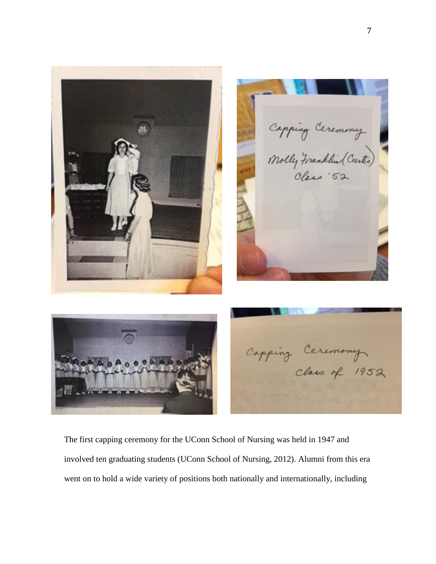

The first capping ceremony for the UConn School of Nursing was held in 1947 and involved ten graduating students (UConn School of Nursing, 2012). Alumni from this era went on to hold a wide variety of positions both nationally and internationally, including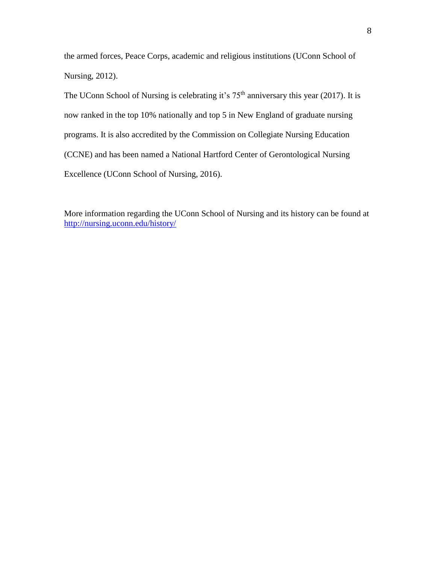the armed forces, Peace Corps, academic and religious institutions (UConn School of Nursing, 2012).

The UConn School of Nursing is celebrating it's  $75<sup>th</sup>$  anniversary this year (2017). It is now ranked in the top 10% nationally and top 5 in New England of graduate nursing programs. It is also accredited by the Commission on Collegiate Nursing Education (CCNE) and has been named a National Hartford Center of Gerontological Nursing Excellence (UConn School of Nursing, 2016).

More information regarding the UConn School of Nursing and its history can be found at <http://nursing.uconn.edu/history/>